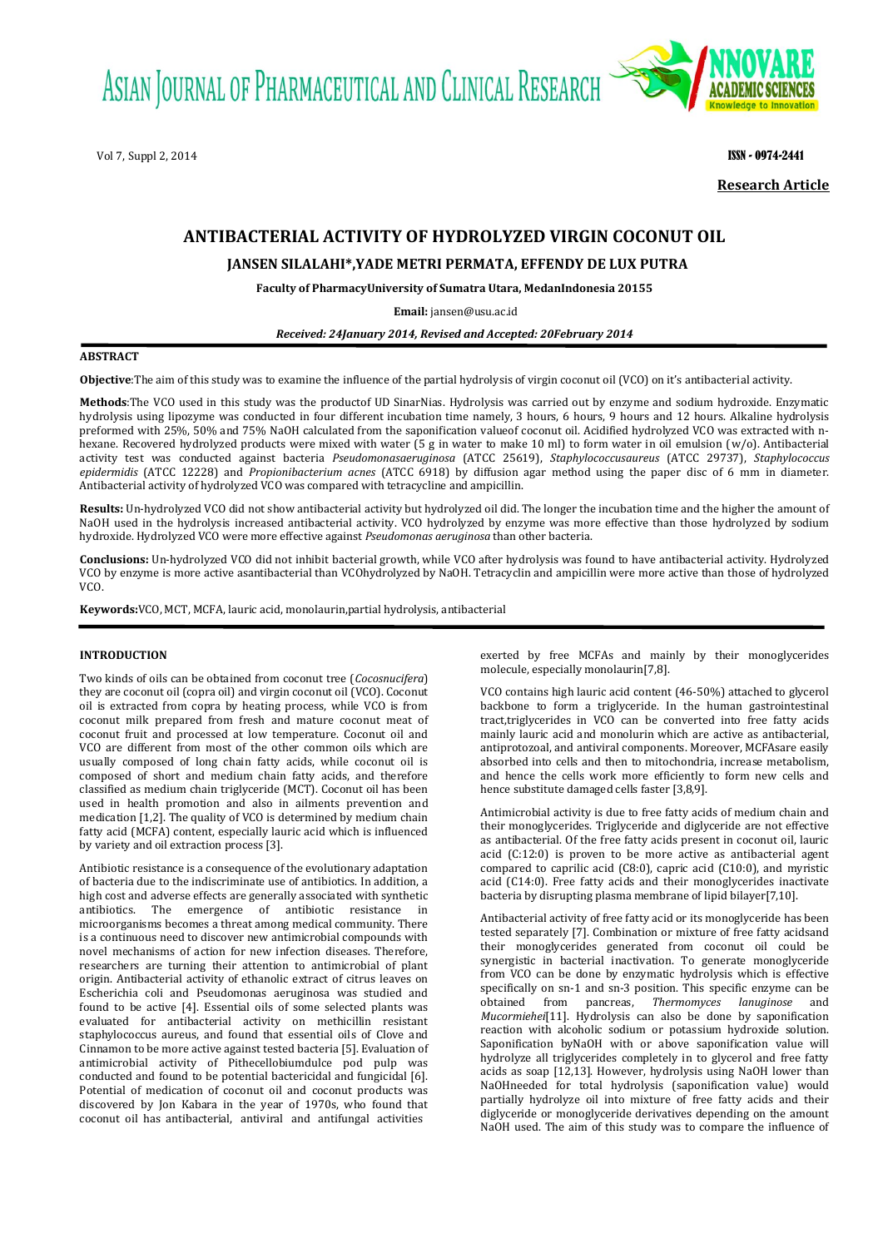ASIAN JOURNAL OF PHARMACEUTICAL AND CLINICAL RESEARCH

Vol 7, Suppl 2, 2014 **ISSN - 0974-2441 ISSN - 0974-2441** 



**Research Article**

# **ANTIBACTERIAL ACTIVITY OF HYDROLYZED VIRGIN COCONUT OIL**

# **JANSEN SILALAHI\*,YADE METRI PERMATA, EFFENDY DE LUX PUTRA**

**Faculty of PharmacyUniversity of Sumatra Utara, MedanIndonesia 20155**

**Email:** [jansen@usu.ac.id](mailto:jansen@usu.ac.id)

# *Received: 24January 2014, Revised and Accepted: 20February 2014*

# **ABSTRACT**

**Objective**:The aim of this study was to examine the influence of the partial hydrolysis of virgin coconut oil (VCO) on it's antibacterial activity.

**Methods**:The VCO used in this study was the productof UD SinarNias. Hydrolysis was carried out by enzyme and sodium hydroxide. Enzymatic hydrolysis using lipozyme was conducted in four different incubation time namely, 3 hours, 6 hours, 9 hours and 12 hours. Alkaline hydrolysis preformed with 25%, 50% and 75% NaOH calculated from the saponification valueof coconut oil. Acidified hydrolyzed VCO was extracted with nhexane. Recovered hydrolyzed products were mixed with water (5 g in water to make 10 ml) to form water in oil emulsion (w/o). Antibacterial activity test was conducted against bacteria *Pseudomonasaeruginosa* (ATCC 25619), *Staphylococcusaureus* (ATCC 29737), *Staphylococcus epidermidis* (ATCC 12228) and *Propionibacterium acnes* (ATCC 6918) by diffusion agar method using the paper disc of 6 mm in diameter. Antibacterial activity of hydrolyzed VCO was compared with tetracycline and ampicillin.

**Results:** Un-hydrolyzed VCO did not show antibacterial activity but hydrolyzed oil did. The longer the incubation time and the higher the amount of NaOH used in the hydrolysis increased antibacterial activity. VCO hydrolyzed by enzyme was more effective than those hydrolyzed by sodium hydroxide. Hydrolyzed VCO were more effective against *Pseudomonas aeruginosa* than other bacteria.

**Conclusions:** Un-hydrolyzed VCO did not inhibit bacterial growth, while VCO after hydrolysis was found to have antibacterial activity. Hydrolyzed VCO by enzyme is more active asantibacterial than VCOhydrolyzed by NaOH. Tetracyclin and ampicillin were more active than those of hydrolyzed VCO.

**Keywords:**VCO, MCT, MCFA, lauric acid, monolaurin,partial hydrolysis, antibacterial

# **INTRODUCTION**

Two kinds of oils can be obtained from coconut tree (*Cocosnucifera*) they are coconut oil (copra oil) and virgin coconut oil (VCO). Coconut oil is extracted from copra by heating process, while VCO is from coconut milk prepared from fresh and mature coconut meat of coconut fruit and processed at low temperature. Coconut oil and VCO are different from most of the other common oils which are usually composed of long chain fatty acids, while coconut oil is composed of short and medium chain fatty acids, and therefore classified as medium chain triglyceride (MCT). Coconut oil has been used in health promotion and also in ailments prevention and medication [1,2]. The quality of VCO is determined by medium chain fatty acid (MCFA) content, especially lauric acid which is influenced by variety and oil extraction process [3].

Antibiotic resistance is a consequence of the evolutionary adaptation of bacteria due to the indiscriminate use of antibiotics. In addition, a high cost and adverse effects are generally associated with synthetic antibiotics. The emergence of antibiotic resistance in microorganisms becomes a threat among medical community. There is a continuous need to discover new antimicrobial compounds with novel mechanisms of action for new infection diseases. Therefore, researchers are turning their attention to antimicrobial of plant origin. Antibacterial activity of ethanolic extract of citrus leaves on Escherichia coli and Pseudomonas aeruginosa was studied and found to be active [4]. Essential oils of some selected plants was evaluated for antibacterial activity on methicillin resistant staphylococcus aureus, and found that essential oils of Clove and Cinnamon to be more active against tested bacteria [5]. Evaluation of antimicrobial activity of Pithecellobiumdulce pod pulp was conducted and found to be potential bactericidal and fungicidal [6]. Potential of medication of coconut oil and coconut products was discovered by Jon Kabara in the year of 1970s, who found that coconut oil has antibacterial, antiviral and antifungal activities

exerted by free MCFAs and mainly by their monoglycerides molecule, especially monolaurin[7,8].

VCO contains high lauric acid content (46-50%) attached to glycerol backbone to form a triglyceride. In the human gastrointestinal tract,triglycerides in VCO can be converted into free fatty acids mainly lauric acid and monolurin which are active as antibacterial, antiprotozoal, and antiviral components. Moreover, MCFAsare easily absorbed into cells and then to mitochondria, increase metabolism, and hence the cells work more efficiently to form new cells and hence substitute damaged cells faster [3,8,9].

Antimicrobial activity is due to free fatty acids of medium chain and their monoglycerides. Triglyceride and diglyceride are not effective as antibacterial. Of the free fatty acids present in coconut oil, lauric acid (C:12:0) is proven to be more active as antibacterial agent compared to caprilic acid (C8:0), capric acid (C10:0), and myristic acid (C14:0). Free fatty acids and their monoglycerides inactivate bacteria by disrupting plasma membrane of lipid bilayer[7,10].

Antibacterial activity of free fatty acid or its monoglyceride has been tested separately [7]. Combination or mixture of free fatty acidsand their monoglycerides generated from coconut oil could be synergistic in bacterial inactivation. To generate monoglyceride from VCO can be done by enzymatic hydrolysis which is effective specifically on sn-1 and sn-3 position. This specific enzyme can be obtained from pancreas. Thermomyces lanuainose and obtained from pancreas, *Thermomyces lanuginose* and *Mucormiehei*[11]. Hydrolysis can also be done by saponification reaction with alcoholic sodium or potassium hydroxide solution. Saponification byNaOH with or above saponification value will hydrolyze all triglycerides completely in to glycerol and free fatty acids as soap [12,13]. However, hydrolysis using NaOH lower than NaOHneeded for total hydrolysis (saponification value) would partially hydrolyze oil into mixture of free fatty acids and their diglyceride or monoglyceride derivatives depending on the amount NaOH used. The aim of this study was to compare the influence of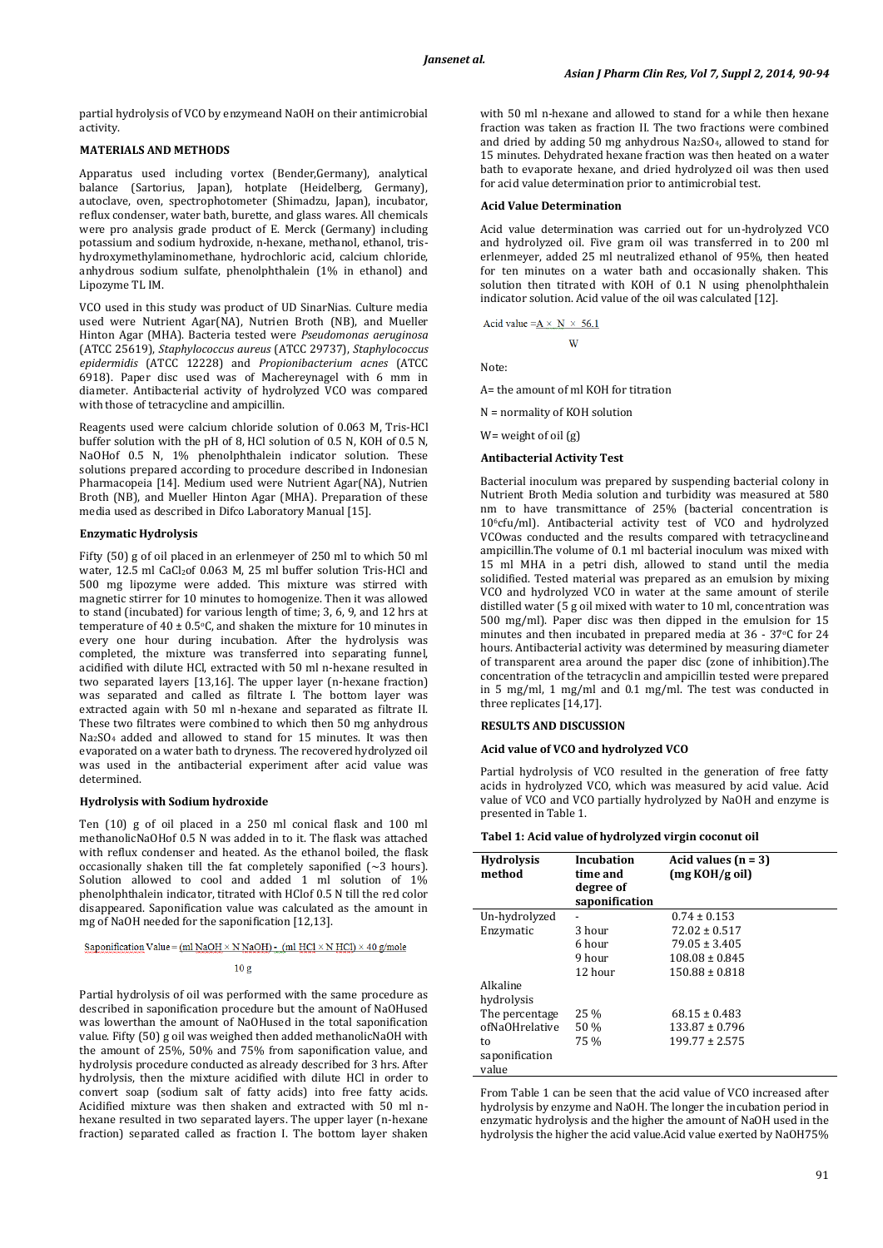partial hydrolysis of VCO by enzymeand NaOH on their antimicrobial activity.

# **MATERIALS AND METHODS**

Apparatus used including vortex (Bender,Germany), analytical balance (Sartorius, Japan), hotplate (Heidelberg, Germany), autoclave, oven, spectrophotometer (Shimadzu, Japan), incubator, reflux condenser, water bath, burette, and glass wares. All chemicals were pro analysis grade product of E. Merck (Germany) including potassium and sodium hydroxide, n-hexane, methanol, ethanol, trishydroxymethylaminomethane, hydrochloric acid, calcium chloride, anhydrous sodium sulfate, phenolphthalein (1% in ethanol) and Lipozyme TL IM.

VCO used in this study was product of UD SinarNias. Culture media used were Nutrient Agar(NA), Nutrien Broth (NB), and Mueller Hinton Agar (MHA). Bacteria tested were *Pseudomonas aeruginosa* (ATCC 25619), *Staphylococcus aureus* (ATCC 29737), *Staphylococcus epidermidis* (ATCC 12228) and *Propionibacterium acnes* (ATCC 6918). Paper disc used was of Machereynagel with 6 mm in diameter. Antibacterial activity of hydrolyzed VCO was compared with those of tetracycline and ampicillin.

Reagents used were calcium chloride solution of 0.063 M, Tris-HCl buffer solution with the pH of 8, HCl solution of 0.5 N, KOH of 0.5 N, NaOHof 0.5 N, 1% phenolphthalein indicator solution. These solutions prepared according to procedure described in Indonesian Pharmacopeia [14]. Medium used were Nutrient Agar(NA), Nutrien Broth (NB), and Mueller Hinton Agar (MHA). Preparation of these media used as described in Difco Laboratory Manual [15].

### **Enzymatic Hydrolysis**

Fifty (50) g of oil placed in an erlenmeyer of 250 ml to which 50 ml water, 12.5 ml CaCl<sub>2</sub>of 0.063 M, 25 ml buffer solution Tris-HCl and 500 mg lipozyme were added. This mixture was stirred with magnetic stirrer for 10 minutes to homogenize. Then it was allowed to stand (incubated) for various length of time; 3, 6, 9, and 12 hrs at temperature of 40  $\pm$  0.5 $\degree$ C, and shaken the mixture for 10 minutes in every one hour during incubation. After the hydrolysis was completed, the mixture was transferred into separating funnel, acidified with dilute HCl, extracted with 50 ml n-hexane resulted in two separated layers [13,16]. The upper layer (n-hexane fraction) was separated and called as filtrate I. The bottom layer was extracted again with 50 ml n-hexane and separated as filtrate II. These two filtrates were combined to which then 50 mg anhydrous Na2SO<sup>4</sup> added and allowed to stand for 15 minutes. It was then evaporated on a water bath to dryness. The recovered hydrolyzed oil was used in the antibacterial experiment after acid value was determined.

#### **Hydrolysis with Sodium hydroxide**

Ten (10) g of oil placed in a 250 ml conical flask and 100 ml methanolicNaOHof 0.5 N was added in to it. The flask was attached with reflux condenser and heated. As the ethanol boiled, the flask occasionally shaken till the fat completely saponified  $(\sim 3$  hours). Solution allowed to cool and added 1 ml solution of 1% phenolphthalein indicator, titrated with HClof 0.5 N till the red color disappeared. Saponification value was calculated as the amount in mg of NaOH needed for the saponification [12,13].

#### Saponification Value =  $(ml$  NaOH  $\times$  N NaOH) -  $(ml$  HCl  $\times$  N HCl)  $\times$  40 g/mole

#### $10<sub>g</sub>$

Partial hydrolysis of oil was performed with the same procedure as described in saponification procedure but the amount of NaOHused was lowerthan the amount of NaOHused in the total saponification value. Fifty (50) g oil was weighed then added methanolicNaOH with the amount of 25%, 50% and 75% from saponification value, and hydrolysis procedure conducted as already described for 3 hrs. After hydrolysis, then the mixture acidified with dilute HCl in order to convert soap (sodium salt of fatty acids) into free fatty acids. Acidified mixture was then shaken and extracted with 50 ml nhexane resulted in two separated layers. The upper layer (n-hexane fraction) separated called as fraction I. The bottom layer shaken with 50 ml n-hexane and allowed to stand for a while then hexane fraction was taken as fraction II. The two fractions were combined and dried by adding 50 mg anhydrous  $Na<sub>2</sub>SO<sub>4</sub>$ , allowed to stand for 15 minutes. Dehydrated hexane fraction was then heated on a water bath to evaporate hexane, and dried hydrolyzed oil was then used for acid value determination prior to antimicrobial test.

## **Acid Value Determination**

Acid value determination was carried out for un-hydrolyzed VCO and hydrolyzed oil. Five gram oil was transferred in to 200 ml erlenmeyer, added 25 ml neutralized ethanol of 95%, then heated for ten minutes on a water bath and occasionally shaken. This solution then titrated with KOH of 0.1 N using phenolphthalein indicator solution. Acid value of the oil was calculated [12].

$$
Acid value = A \times N \times 56.1
$$

Note:

A= the amount of ml KOH for titration

w

N = normality of KOH solution

W= weight of oil (g)

### **Antibacterial Activity Test**

Bacterial inoculum was prepared by suspending bacterial colony in Nutrient Broth Media solution and turbidity was measured at 580 nm to have transmittance of 25% (bacterial concentration is 106cfu/ml). Antibacterial activity test of VCO and hydrolyzed VCOwas conducted and the results compared with tetracyclineand ampicillin.The volume of 0.1 ml bacterial inoculum was mixed with 15 ml MHA in a petri dish, allowed to stand until the media solidified. Tested material was prepared as an emulsion by mixing VCO and hydrolyzed VCO in water at the same amount of sterile distilled water (5 g oil mixed with water to 10 ml, concentration was 500 mg/ml). Paper disc was then dipped in the emulsion for 15 minutes and then incubated in prepared media at 36 - 37°C for 24 hours. Antibacterial activity was determined by measuring diameter of transparent area around the paper disc (zone of inhibition).The concentration of the tetracyclin and ampicillin tested were prepared in 5 mg/ml, 1 mg/ml and 0.1 mg/ml. The test was conducted in three replicates [14,17].

#### **RESULTS AND DISCUSSION**

#### **Acid value of VCO and hydrolyzed VCO**

Partial hydrolysis of VCO resulted in the generation of free fatty acids in hydrolyzed VCO, which was measured by acid value. Acid value of VCO and VCO partially hydrolyzed by NaOH and enzyme is presented in Table 1.

# **Tabel 1: Acid value of hydrolyzed virgin coconut oil**

| <b>Hydrolysis</b><br>method | Incubation<br>time and<br>degree of<br>saponification | Acid values $(n = 3)$<br>(mg KOH/g oil) |  |
|-----------------------------|-------------------------------------------------------|-----------------------------------------|--|
| Un-hydrolyzed               |                                                       | $0.74 \pm 0.153$                        |  |
| Enzymatic                   | 3 hour                                                | $72.02 \pm 0.517$                       |  |
|                             | 6 hour                                                | $79.05 \pm 3.405$                       |  |
|                             | 9 hour                                                | $108.08 \pm 0.845$                      |  |
|                             | 12 hour                                               | $150.88 \pm 0.818$                      |  |
| Alkaline<br>hydrolysis      |                                                       |                                         |  |
| The percentage              | $25\%$                                                | $68.15 \pm 0.483$                       |  |
| ofNaOHrelative              | 50 %                                                  | $133.87 \pm 0.796$                      |  |
| to                          | 75 %                                                  | $199.77 \pm 2.575$                      |  |
| saponification              |                                                       |                                         |  |
| value                       |                                                       |                                         |  |

From Table 1 can be seen that the acid value of VCO increased after hydrolysis by enzyme and NaOH. The longer the incubation period in enzymatic hydrolysis and the higher the amount of NaOH used in the hydrolysis the higher the acid value.Acid value exerted by NaOH75%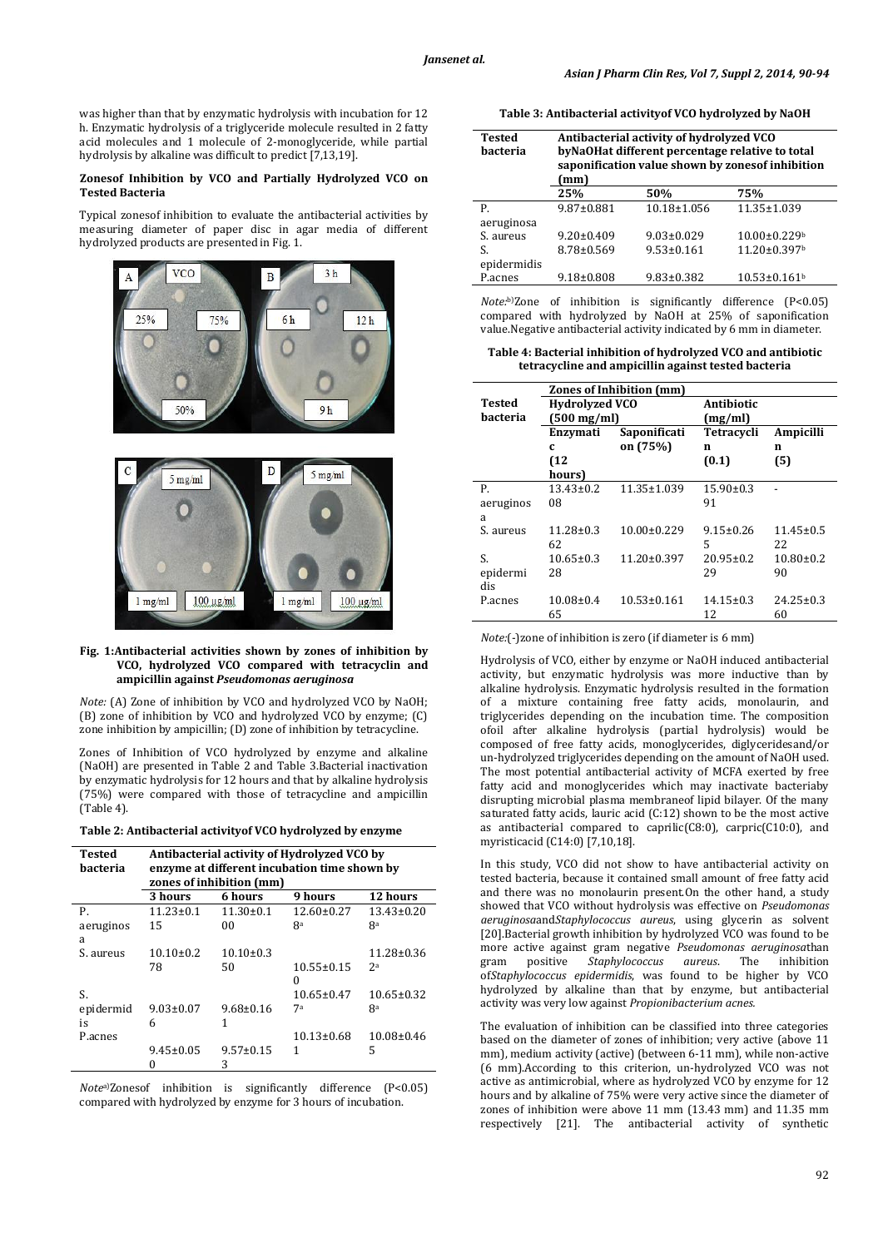was higher than that by enzymatic hydrolysis with incubation for 12 h. Enzymatic hydrolysis of a triglyceride molecule resulted in 2 fatty acid molecules and 1 molecule of 2-monoglyceride, while partial hydrolysis by alkaline was difficult to predict [7,13,19].

# **Zonesof Inhibition by VCO and Partially Hydrolyzed VCO on Tested Bacteria**

Typical zonesof inhibition to evaluate the antibacterial activities by measuring diameter of paper disc in agar media of different hydrolyzed products are presented in Fig. 1.



#### **Fig. 1:Antibacterial activities shown by zones of inhibition by VCO, hydrolyzed VCO compared with tetracyclin and ampicillin against** *Pseudomonas aeruginosa*

*Note:* (A) Zone of inhibition by VCO and hydrolyzed VCO by NaOH; (B) zone of inhibition by VCO and hydrolyzed VCO by enzyme; (C) zone inhibition by ampicillin; (D) zone of inhibition by tetracycline.

Zones of Inhibition of VCO hydrolyzed by enzyme and alkaline (NaOH) are presented in Table 2 and Table 3.Bacterial inactivation by enzymatic hydrolysis for 12 hours and that by alkaline hydrolysis (75%) were compared with those of tetracycline and ampicillin (Table 4).

#### **Table 2: Antibacterial activityof VCO hydrolyzed by enzyme**

| <b>Tested</b><br>bacteria | Antibacterial activity of Hydrolyzed VCO by<br>enzyme at different incubation time shown by<br>zones of inhibition (mm) |                 |                  |                  |
|---------------------------|-------------------------------------------------------------------------------------------------------------------------|-----------------|------------------|------------------|
|                           | 3 hours                                                                                                                 | 6 hours         | 9 hours          | 12 hours         |
| Р.                        | $11.23 \pm 0.1$                                                                                                         | $11.30 \pm 0.1$ | $12.60 \pm 0.27$ | $13.43 \pm 0.20$ |
| aeruginos                 | 15                                                                                                                      | 00              | 8a               | <b>R</b> a       |
| a                         |                                                                                                                         |                 |                  |                  |
| S. aureus                 | $10.10 \pm 0.2$                                                                                                         | $10.10 \pm 0.3$ |                  | $11.28 \pm 0.36$ |
|                           | 78                                                                                                                      | 50              | $10.55 \pm 0.15$ | 2 <sup>a</sup>   |
|                           |                                                                                                                         |                 | 0                |                  |
| S.                        |                                                                                                                         |                 | $10.65 \pm 0.47$ | $10.65 \pm 0.32$ |
| epidermid                 | $9.03 \pm 0.07$                                                                                                         | $9.68 \pm 0.16$ | 7а               | 8a               |
| is                        | 6                                                                                                                       | 1               |                  |                  |
| P.acnes                   |                                                                                                                         |                 | $10.13 \pm 0.68$ | $10.08 \pm 0.46$ |
|                           | $9.45 \pm 0.05$                                                                                                         | $9.57 \pm 0.15$ | 1                | 5                |
|                           | 0                                                                                                                       | 3               |                  |                  |

*Note*a)Zonesof inhibition is significantly difference (P<0.05) compared with hydrolyzed by enzyme for 3 hours of incubation.

**Table 3: Antibacterial activityof VCO hydrolyzed by NaOH**

| <b>Tested</b><br><b>bacteria</b> | Antibacterial activity of hydrolyzed VCO<br>byNaOHat different percentage relative to total<br>saponification value shown by zonesof inhibition<br>(mm) |                  |                                |  |  |
|----------------------------------|---------------------------------------------------------------------------------------------------------------------------------------------------------|------------------|--------------------------------|--|--|
|                                  | 25%                                                                                                                                                     | 50%              | 75%                            |  |  |
| P.                               | $9.87 \pm 0.881$                                                                                                                                        | 10.18±1.056      | 11.35±1.039                    |  |  |
| aeruginosa                       |                                                                                                                                                         |                  |                                |  |  |
| S. aureus                        | $9.20 \pm 0.409$                                                                                                                                        | $9.03 \pm 0.029$ | $10.00 \pm 0.229$              |  |  |
| S.                               | 8.78±0.569                                                                                                                                              | $9.53 \pm 0.161$ | $11.20 \pm 0.397$ <sup>b</sup> |  |  |
| epidermidis                      |                                                                                                                                                         |                  |                                |  |  |
| P.acnes                          | $9.18 \pm 0.808$                                                                                                                                        | $9.83 \pm 0.382$ | $10.53 \pm 0.161$ <sup>b</sup> |  |  |

*Note:*b)Zone of inhibition is significantly difference (P<0.05) compared with hydrolyzed by NaOH at 25% of saponification value.Negative antibacterial activity indicated by 6 mm in diameter.

**Table 4: Bacterial inhibition of hydrolyzed VCO and antibiotic tetracycline and ampicillin against tested bacteria**

|           | <b>Zones of Inhibition (mm)</b> |                   |                 |                 |  |
|-----------|---------------------------------|-------------------|-----------------|-----------------|--|
| Tested    | <b>Hydrolyzed VCO</b>           |                   | Antibiotic      |                 |  |
| bacteria  | $(500 \text{ mg/ml})$           |                   | (mg/ml)         |                 |  |
|           | Enzymati                        | Saponificati      | Tetracycli      | Ampicilli       |  |
|           | C                               | on (75%)          | n               | n               |  |
|           | (12)                            |                   | (0.1)           | (5)             |  |
|           | hours)                          |                   |                 |                 |  |
| P.        | $13.43 \pm 0.2$                 | 11.35±1.039       | $15.90 \pm 0.3$ |                 |  |
| aeruginos | 08                              |                   | 91              |                 |  |
| a         |                                 |                   |                 |                 |  |
| S. aureus | $11.28 \pm 0.3$                 | $10.00 \pm 0.229$ | $9.15 \pm 0.26$ | $11.45 \pm 0.5$ |  |
|           | 62                              |                   | 5               | 22              |  |
| S.        | $10.65 \pm 0.3$                 | 11.20±0.397       | $20.95 \pm 0.2$ | $10.80 \pm 0.2$ |  |
| epidermi  | 28                              |                   | 29              | 90              |  |
| dis       |                                 |                   |                 |                 |  |
| P.acnes   | $10.08 \pm 0.4$                 | $10.53 \pm 0.161$ | $14.15 \pm 0.3$ | $24.25 \pm 0.3$ |  |
|           | 65                              |                   | 12              | 60              |  |

*Note:*(-)zone of inhibition is zero (if diameter is 6 mm)

Hydrolysis of VCO, either by enzyme or NaOH induced antibacterial activity, but enzymatic hydrolysis was more inductive than by alkaline hydrolysis. Enzymatic hydrolysis resulted in the formation of a mixture containing free fatty acids, monolaurin, and triglycerides depending on the incubation time. The composition ofoil after alkaline hydrolysis (partial hydrolysis) would be composed of free fatty acids, monoglycerides, diglyceridesand/or un-hydrolyzed triglycerides depending on the amount of NaOH used. The most potential antibacterial activity of MCFA exerted by free fatty acid and monoglycerides which may inactivate bacteriaby disrupting microbial plasma membraneof lipid bilayer. Of the many saturated fatty acids, lauric acid (C:12) shown to be the most active as antibacterial compared to caprilic(C8:0), carpric(C10:0), and myristicacid (C14:0) [7,10,18].

In this study, VCO did not show to have antibacterial activity on tested bacteria, because it contained small amount of free fatty acid and there was no monolaurin present.On the other hand, a study showed that VCO without hydrolysis was effective on *Pseudomonas aeruginosa*and*Staphylococcus aureus*, using glycerin as solvent [20].Bacterial growth inhibition by hydrolyzed VCO was found to be more active against gram negative *Pseudomonas aeruginosa*than gram positive *Staphylococcus aureus*. The inhibition of*Staphylococcus epidermidis*, was found to be higher by VCO hydrolyzed by alkaline than that by enzyme, but antibacterial activity was very low against *Propionibacterium acnes.*

The evaluation of inhibition can be classified into three categories based on the diameter of zones of inhibition; very active (above 11 mm), medium activity (active) (between 6-11 mm), while non-active (6 mm).According to this criterion, un-hydrolyzed VCO was not active as antimicrobial, where as hydrolyzed VCO by enzyme for 12 hours and by alkaline of 75% were very active since the diameter of zones of inhibition were above 11 mm (13.43 mm) and 11.35 mm respectively [21]. The antibacterial activity of synthetic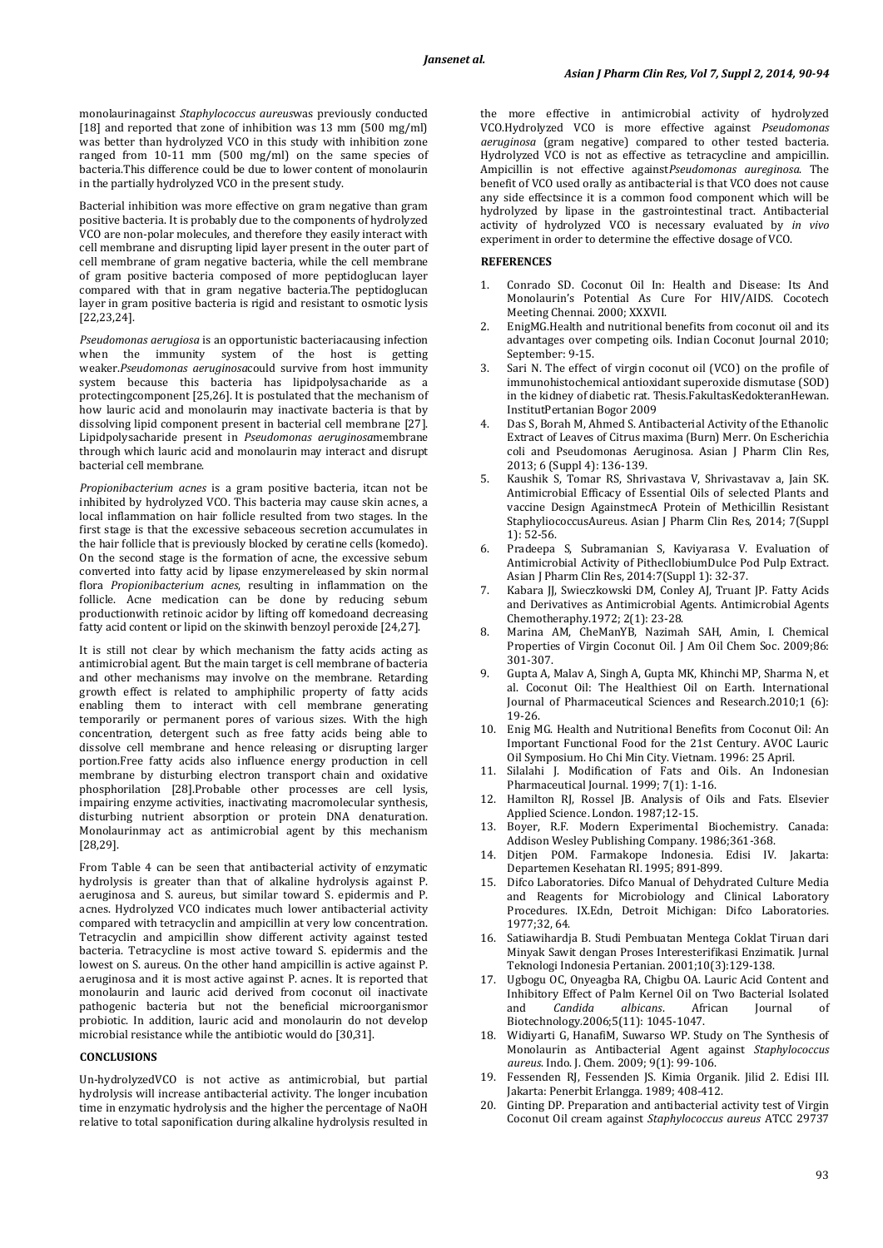monolaurinagainst *Staphylococcus aureus*was previously conducted [18] and reported that zone of inhibition was 13 mm (500 mg/ml) was better than hydrolyzed VCO in this study with inhibition zone ranged from 10-11 mm (500 mg/ml) on the same species of bacteria.This difference could be due to lower content of monolaurin in the partially hydrolyzed VCO in the present study.

Bacterial inhibition was more effective on gram negative than gram positive bacteria. It is probably due to the components of hydrolyzed VCO are non-polar molecules, and therefore they easily interact with cell membrane and disrupting lipid layer present in the outer part of cell membrane of gram negative bacteria, while the cell membrane of gram positive bacteria composed of more peptidoglucan layer compared with that in gram negative bacteria.The peptidoglucan layer in gram positive bacteria is rigid and resistant to osmotic lysis [22,23,24].

*Pseudomonas aerugiosa* is an opportunistic bacteriacausing infection when the immunity system of the host is getting weaker.*Pseudomonas aeruginosa*could survive from host immunity system because this bacteria has lipidpolysacharide as a protectingcomponent [25,26]. It is postulated that the mechanism of how lauric acid and monolaurin may inactivate bacteria is that by dissolving lipid component present in bacterial cell membrane [27]. Lipidpolysacharide present in *Pseudomonas aeruginosa*membrane through which lauric acid and monolaurin may interact and disrupt bacterial cell membrane.

*Propionibacterium acnes* is a gram positive bacteria, itcan not be inhibited by hydrolyzed VCO. This bacteria may cause skin acnes, a local inflammation on hair follicle resulted from two stages. In the first stage is that the excessive sebaceous secretion accumulates in the hair follicle that is previously blocked by ceratine cells (komedo). On the second stage is the formation of acne, the excessive sebum converted into fatty acid by lipase enzymereleased by skin normal flora *Propionibacterium acnes*, resulting in inflammation on the follicle. Acne medication can be done by reducing sebum productionwith retinoic acidor by lifting off komedoand decreasing fatty acid content or lipid on the skinwith benzoyl peroxide [24,27].

It is still not clear by which mechanism the fatty acids acting as antimicrobial agent. But the main target is cell membrane of bacteria and other mechanisms may involve on the membrane. Retarding growth effect is related to amphiphilic property of fatty acids enabling them to interact with cell membrane generating temporarily or permanent pores of various sizes. With the high concentration, detergent such as free fatty acids being able to dissolve cell membrane and hence releasing or disrupting larger portion.Free fatty acids also influence energy production in cell membrane by disturbing electron transport chain and oxidative phosphorilation [28].Probable other processes are cell lysis, impairing enzyme activities, inactivating macromolecular synthesis, disturbing nutrient absorption or protein DNA denaturation. Monolaurinmay act as antimicrobial agent by this mechanism [28,29].

From Table 4 can be seen that antibacterial activity of enzymatic hydrolysis is greater than that of alkaline hydrolysis against P. aeruginosa and S. aureus, but similar toward S. epidermis and P. acnes. Hydrolyzed VCO indicates much lower antibacterial activity compared with tetracyclin and ampicillin at very low concentration. Tetracyclin and ampicillin show different activity against tested bacteria. Tetracycline is most active toward S. epidermis and the lowest on S. aureus. On the other hand ampicillin is active against P. aeruginosa and it is most active against P. acnes. It is reported that monolaurin and lauric acid derived from coconut oil inactivate pathogenic bacteria but not the beneficial microorganismor probiotic. In addition, lauric acid and monolaurin do not develop microbial resistance while the antibiotic would do [30,31].

### **CONCLUSIONS**

Un-hydrolyzedVCO is not active as antimicrobial, but partial hydrolysis will increase antibacterial activity. The longer incubation time in enzymatic hydrolysis and the higher the percentage of NaOH relative to total saponification during alkaline hydrolysis resulted in the more effective in antimicrobial activity of hydrolyzed VCO.Hydrolyzed VCO is more effective against *Pseudomonas aeruginosa* (gram negative) compared to other tested bacteria. Hydrolyzed VCO is not as effective as tetracycline and ampicillin. Ampicillin is not effective against*Pseudomonas aureginosa*. The benefit of VCO used orally as antibacterial is that VCO does not cause any side effectsince it is a common food component which will be hydrolyzed by lipase in the gastrointestinal tract. Antibacterial activity of hydrolyzed VCO is necessary evaluated by *in vivo* experiment in order to determine the effective dosage of VCO.

# **REFERENCES**

- 1. Conrado SD. Coconut Oil In: Health and Disease: Its And Monolaurin's Potential As Cure For HIV/AIDS. Cocotech Meeting Chennai*.* 2000; XXXVII.
- 2. EnigMG.Health and nutritional benefits from coconut oil and its advantages over competing oils. Indian Coconut Journal 2010; September: 9-15.
- 3. Sari N. The effect of virgin coconut oil (VCO) on the profile of immunohistochemical antioxidant superoxide dismutase (SOD) in the kidney of diabetic rat. Thesis.FakultasKedokteranHewan. InstitutPertanian Bogor 2009
- Das S, Borah M, Ahmed S. Antibacterial Activity of the Ethanolic Extract of Leaves of Citrus maxima (Burn) Merr. On Escherichia coli and Pseudomonas Aeruginosa. Asian J Pharm Clin Res, 2013; 6 (Suppl 4): 136-139.
- 5. Kaushik S, Tomar RS, Shrivastava V, Shrivastavav a, Jain SK. Antimicrobial Efficacy of Essential Oils of selected Plants and vaccine Design AgainstmecA Protein of Methicillin Resistant StaphyliococcusAureus. Asian J Pharm Clin Res, 2014; 7(Suppl 1): 52-56.
- 6. Pradeepa S, Subramanian S, Kaviyarasa V. Evaluation of Antimicrobial Activity of PithecllobiumDulce Pod Pulp Extract. Asian J Pharm Clin Res, 2014:7(Suppl 1): 32-37.
- 7. Kabara JJ, Swieczkowski DM, Conley AJ, Truant JP. Fatty Acids and Derivatives as Antimicrobial Agents. Antimicrobial Agents Chemotheraphy.1972; 2(1): 23-28.
- 8. Marina AM, CheManYB, Nazimah SAH, Amin, I. Chemical Properties of Virgin Coconut Oil. J Am Oil Chem Soc. 2009;86: 301-307.
- 9. Gupta A, Malav A, Singh A, Gupta MK, Khinchi MP, Sharma N, et al. Coconut Oil: The Healthiest Oil on Earth. International Journal of Pharmaceutical Sciences and Research*.*2010;1 (6): 19-26.
- 10. Enig MG. Health and Nutritional Benefits from Coconut Oil: An Important Functional Food for the 21st Century. AVOC Lauric Oil Symposium. Ho Chi Min City. Vietnam. 1996: 25 April.
- 11. Silalahi J. Modification of Fats and Oils. An Indonesian Pharmaceutical Journal. 1999; 7(1): 1-16.
- 12. Hamilton RJ, Rossel JB. Analysis of Oils and Fats. Elsevier Applied Science. London. 1987;12-15.
- 13. Boyer, R.F. Modern Experimental Biochemistry. Canada: Addison Wesley Publishing Company. 1986;361-368.
- 14. Ditjen POM. Farmakope Indonesia. Edisi IV. Jakarta: Departemen Kesehatan RI. 1995; 891-899.
- 15. Difco Laboratories. Difco Manual of Dehydrated Culture Media and Reagents for Microbiology and Clinical Laboratory Procedures. IX.Edn, Detroit Michigan: Difco Laboratories. 1977;32, 64.
- 16. Satiawihardja B. Studi Pembuatan Mentega Coklat Tiruan dari Minyak Sawit dengan Proses Interesterifikasi Enzimatik. Jurnal Teknologi Indonesia Pertanian. 2001;10(3):129-138.
- 17. Ugbogu OC, Onyeagba RA, Chigbu OA. Lauric Acid Content and Inhibitory Effect of Palm Kernel Oil on Two Bacterial Isolated<br>and Candida albicans. African Iournal of albicans. African **Journal** of Biotechnology*.*2006;5(11): 1045-1047.
- 18. Widiyarti G, HanafiM, Suwarso WP. Study on The Synthesis of Monolaurin as Antibacterial Agent against *Staphylococcus aureus*. Indo. J. Chem. 2009; 9(1): 99-106.
- 19. Fessenden RJ, Fessenden JS. Kimia Organik. Jilid 2. Edisi III. Jakarta: Penerbit Erlangga. 1989; 408-412.
- 20. Ginting DP. Preparation and antibacterial activity test of Virgin Coconut Oil cream against *Staphylococcus aureus* ATCC 29737